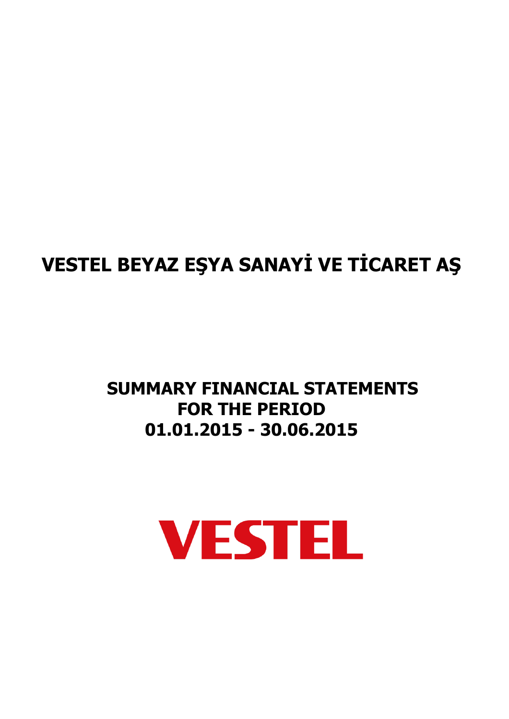## **SUMMARY FINANCIAL STATEMENTS FOR THE PERIOD 01.01.2015 - 30.06.2015**

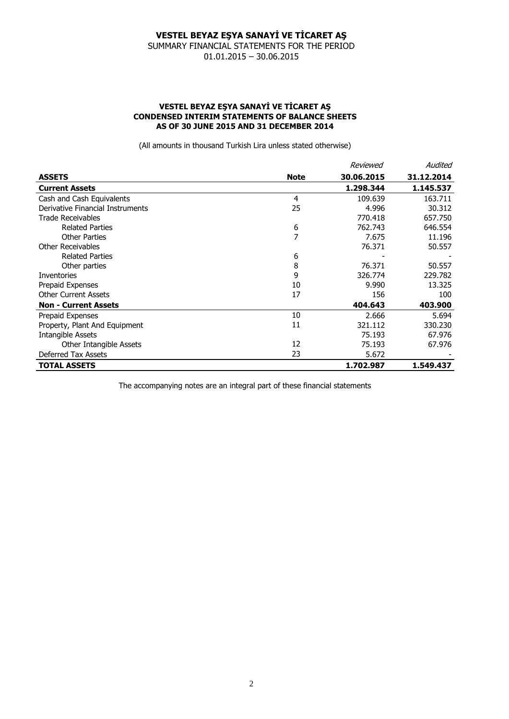SUMMARY FINANCIAL STATEMENTS FOR THE PERIOD 01.01.2015 – 30.06.2015

#### **VESTEL BEYAZ EŞYA SANAYİ VE TİCARET AŞ CONDENSED INTERIM STATEMENTS OF BALANCE SHEETS AS OF 30 JUNE 2015 AND 31 DECEMBER 2014**

(All amounts in thousand Turkish Lira unless stated otherwise)

|                                  |             | Reviewed   | Audited    |
|----------------------------------|-------------|------------|------------|
| <b>ASSETS</b>                    | <b>Note</b> | 30.06.2015 | 31.12.2014 |
| <b>Current Assets</b>            |             | 1.298.344  | 1.145.537  |
| Cash and Cash Equivalents        | 4           | 109.639    | 163.711    |
| Derivative Financial Instruments | 25          | 4.996      | 30.312     |
| Trade Receivables                |             | 770.418    | 657.750    |
| <b>Related Parties</b>           | 6           | 762.743    | 646.554    |
| <b>Other Parties</b>             | 7           | 7.675      | 11.196     |
| <b>Other Receivables</b>         |             | 76.371     | 50.557     |
| <b>Related Parties</b>           | 6           |            |            |
| Other parties                    | 8           | 76.371     | 50.557     |
| <b>Inventories</b>               | 9           | 326.774    | 229,782    |
| Prepaid Expenses                 | 10          | 9.990      | 13.325     |
| <b>Other Current Assets</b>      | 17          | 156        | 100        |
| <b>Non - Current Assets</b>      |             | 404.643    | 403.900    |
| Prepaid Expenses                 | 10          | 2.666      | 5.694      |
| Property, Plant And Equipment    | 11          | 321.112    | 330.230    |
| <b>Intangible Assets</b>         |             | 75.193     | 67.976     |
| Other Intangible Assets          | 12          | 75.193     | 67.976     |
| Deferred Tax Assets              | 23          | 5.672      |            |
| <b>TOTAL ASSETS</b>              |             | 1.702.987  | 1.549.437  |

The accompanying notes are an integral part of these financial statements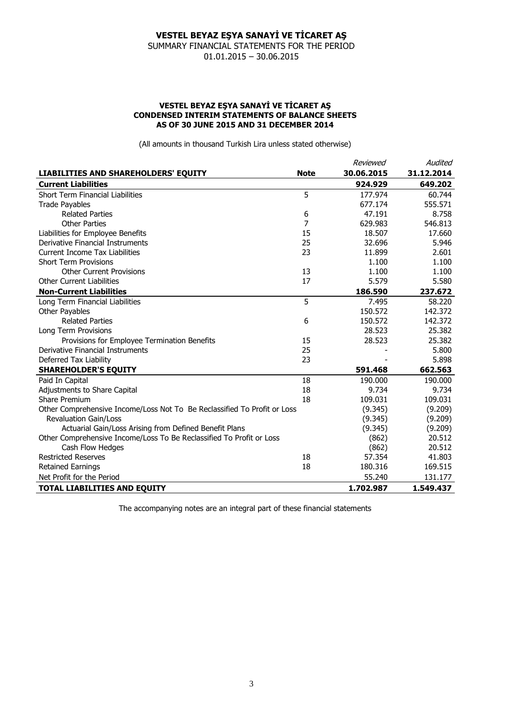SUMMARY FINANCIAL STATEMENTS FOR THE PERIOD 01.01.2015 – 30.06.2015

#### **VESTEL BEYAZ EŞYA SANAYİ VE TİCARET AŞ CONDENSED INTERIM STATEMENTS OF BALANCE SHEETS AS OF 30 JUNE 2015 AND 31 DECEMBER 2014**

(All amounts in thousand Turkish Lira unless stated otherwise)

|                                                                          |             | Reviewed   | Audited    |
|--------------------------------------------------------------------------|-------------|------------|------------|
| LIABILITIES AND SHAREHOLDERS' EQUITY                                     | <b>Note</b> | 30.06.2015 | 31.12.2014 |
| <b>Current Liabilities</b>                                               |             | 924.929    | 649.202    |
| Short Term Financial Liabilities                                         | 5           | 177.974    | 60.744     |
| <b>Trade Payables</b>                                                    |             | 677.174    | 555.571    |
| <b>Related Parties</b>                                                   | 6           | 47.191     | 8.758      |
| <b>Other Parties</b>                                                     | 7           | 629.983    | 546.813    |
| Liabilities for Employee Benefits                                        | 15          | 18.507     | 17,660     |
| Derivative Financial Instruments                                         | 25          | 32.696     | 5.946      |
| Current Income Tax Liabilities                                           | 23          | 11.899     | 2.601      |
| <b>Short Term Provisions</b>                                             |             | 1.100      | 1.100      |
| <b>Other Current Provisions</b>                                          | 13          | 1.100      | 1.100      |
| <b>Other Current Liabilities</b>                                         | 17          | 5.579      | 5.580      |
| <b>Non-Current Liabilities</b>                                           |             | 186.590    | 237.672    |
| Long Term Financial Liabilities                                          | 5           | 7.495      | 58.220     |
| Other Payables                                                           |             | 150.572    | 142.372    |
| <b>Related Parties</b>                                                   | 6           | 150.572    | 142.372    |
| Long Term Provisions                                                     |             | 28.523     | 25.382     |
| Provisions for Employee Termination Benefits                             | 15          | 28.523     | 25.382     |
| Derivative Financial Instruments                                         | 25          |            | 5.800      |
| Deferred Tax Liability                                                   | 23          |            | 5.898      |
| <b>SHAREHOLDER'S EQUITY</b>                                              |             | 591.468    | 662.563    |
| Paid In Capital                                                          | 18          | 190,000    | 190,000    |
| Adjustments to Share Capital                                             | 18          | 9.734      | 9.734      |
| Share Premium                                                            | 18          | 109.031    | 109.031    |
| Other Comprehensive Income/Loss Not To Be Reclassified To Profit or Loss |             | (9.345)    | (9.209)    |
| <b>Revaluation Gain/Loss</b>                                             |             | (9.345)    | (9.209)    |
| Actuarial Gain/Loss Arising from Defined Benefit Plans                   |             | (9.345)    | (9.209)    |
| Other Comprehensive Income/Loss To Be Reclassified To Profit or Loss     |             | (862)      | 20.512     |
| Cash Flow Hedges                                                         |             | (862)      | 20.512     |
| <b>Restricted Reserves</b>                                               | 18          | 57.354     | 41.803     |
| <b>Retained Earnings</b>                                                 | 18          | 180.316    | 169.515    |
| Net Profit for the Period                                                |             | 55.240     | 131.177    |
| <b>TOTAL LIABILITIES AND EQUITY</b>                                      |             | 1.702.987  | 1.549.437  |

The accompanying notes are an integral part of these financial statements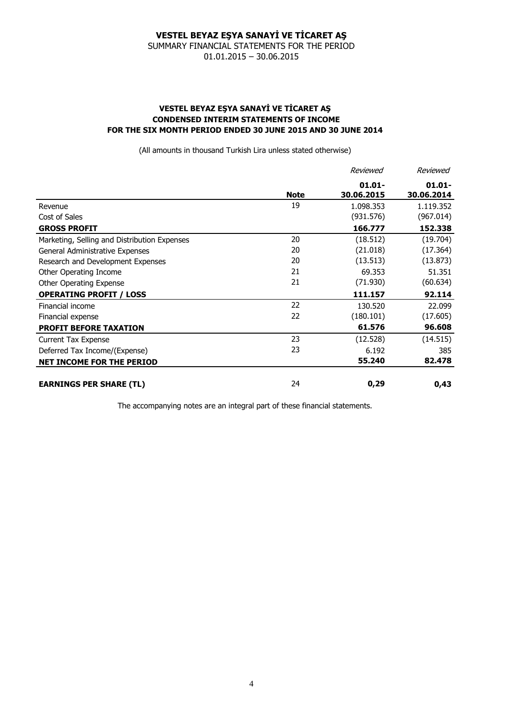SUMMARY FINANCIAL STATEMENTS FOR THE PERIOD 01.01.2015 – 30.06.2015

### **VESTEL BEYAZ EŞYA SANAYİ VE TİCARET AŞ CONDENSED INTERIM STATEMENTS OF INCOME FOR THE SIX MONTH PERIOD ENDED 30 JUNE 2015 AND 30 JUNE 2014**

(All amounts in thousand Turkish Lira unless stated otherwise)

|                                              |             | Reviewed                | Reviewed                |
|----------------------------------------------|-------------|-------------------------|-------------------------|
|                                              | <b>Note</b> | $01.01 -$<br>30.06.2015 | $01.01 -$<br>30.06.2014 |
| Revenue                                      | 19          | 1.098.353               | 1.119.352               |
| Cost of Sales                                |             | (931.576)               | (967.014)               |
| <b>GROSS PROFIT</b>                          |             | 166.777                 | 152.338                 |
| Marketing, Selling and Distribution Expenses | 20          | (18.512)                | (19.704)                |
| General Administrative Expenses              | 20          | (21.018)                | (17.364)                |
| Research and Development Expenses            | 20          | (13.513)                | (13.873)                |
| Other Operating Income                       | 21          | 69.353                  | 51.351                  |
| Other Operating Expense                      | 21          | (71.930)                | (60.634)                |
| <b>OPERATING PROFIT / LOSS</b>               |             | 111.157                 | 92.114                  |
| Financial income                             | 22          | 130.520                 | 22.099                  |
| Financial expense                            | 22          | (180.101)               | (17.605)                |
| <b>PROFIT BEFORE TAXATION</b>                |             | 61.576                  | 96.608                  |
| <b>Current Tax Expense</b>                   | 23          | (12.528)                | (14.515)                |
| Deferred Tax Income/(Expense)                | 23          | 6.192                   | 385                     |
| <b>NET INCOME FOR THE PERIOD</b>             |             | 55.240                  | 82.478                  |
| <b>EARNINGS PER SHARE (TL)</b>               | 24          | 0,29                    | 0,43                    |

The accompanying notes are an integral part of these financial statements.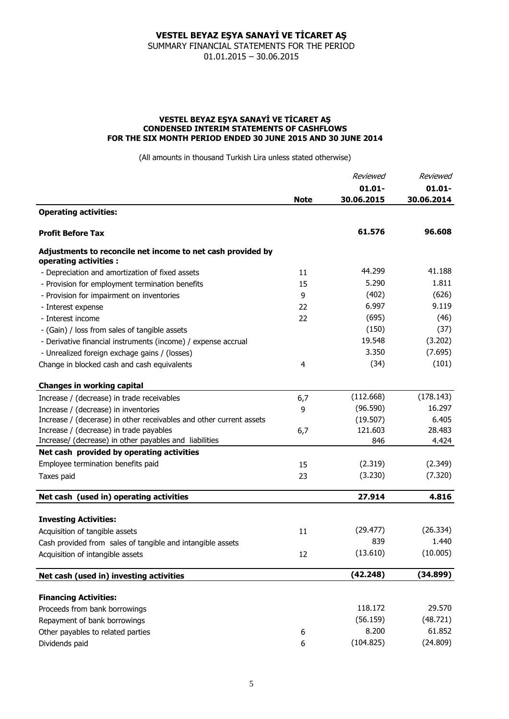SUMMARY FINANCIAL STATEMENTS FOR THE PERIOD 01.01.2015 – 30.06.2015

#### **VESTEL BEYAZ EŞYA SANAYİ VE TİCARET AŞ CONDENSED INTERIM STATEMENTS OF CASHFLOWS FOR THE SIX MONTH PERIOD ENDED 30 JUNE 2015 AND 30 JUNE 2014**

(All amounts in thousand Turkish Lira unless stated otherwise)

|                                                                                       |             | Reviewed<br>$01.01 -$ | Reviewed                |
|---------------------------------------------------------------------------------------|-------------|-----------------------|-------------------------|
|                                                                                       |             |                       | $01.01 -$<br>30.06.2014 |
|                                                                                       | <b>Note</b> | 30.06.2015            |                         |
| <b>Operating activities:</b>                                                          |             |                       |                         |
| <b>Profit Before Tax</b>                                                              |             | 61.576                | 96.608                  |
| Adjustments to reconcile net income to net cash provided by<br>operating activities : |             |                       |                         |
| - Depreciation and amortization of fixed assets                                       | 11          | 44.299                | 41.188                  |
| - Provision for employment termination benefits                                       | 15          | 5.290                 | 1.811                   |
| - Provision for impairment on inventories                                             | 9           | (402)                 | (626)                   |
| - Interest expense                                                                    | 22          | 6.997                 | 9.119                   |
| - Interest income                                                                     | 22          | (695)                 | (46)                    |
| - (Gain) / loss from sales of tangible assets                                         |             | (150)                 | (37)                    |
| - Derivative financial instruments (income) / expense accrual                         |             | 19.548                | (3.202)                 |
| - Unrealized foreign exchage gains / (losses)                                         |             | 3.350                 | (7.695)                 |
| Change in blocked cash and cash equivalents                                           | 4           | (34)                  | (101)                   |
| <b>Changes in working capital</b>                                                     |             |                       |                         |
| Increase / (decrease) in trade receivables                                            | 6,7         | (112.668)             | (178.143)               |
| Increase / (decrease) in inventories                                                  | 9           | (96.590)              | 16.297                  |
| Increase / (decerase) in other receivables and other current assets                   |             | (19.507)              | 6.405                   |
| Increase / (decrease) in trade payables                                               | 6,7         | 121.603               | 28.483                  |
| Increase/ (decrease) in other payables and liabilities                                |             | 846                   | 4.424                   |
| Net cash provided by operating activities                                             |             |                       |                         |
| Employee termination benefits paid                                                    | 15          | (2.319)               | (2.349)                 |
| Taxes paid                                                                            | 23          | (3.230)               | (7.320)                 |
| Net cash (used in) operating activities                                               |             | 27.914                | 4.816                   |
|                                                                                       |             |                       |                         |
| <b>Investing Activities:</b>                                                          |             |                       |                         |
| Acquisition of tangible assets                                                        | 11          | (29.477)              | (26.334)                |
| Cash provided from sales of tangible and intangible assets                            |             | 839                   | 1.440                   |
| Acquisition of intangible assets                                                      | 12          | (13.610)              | (10.005)                |
| Net cash (used in) investing activities                                               |             | (42.248)              | (34.899)                |
|                                                                                       |             |                       |                         |
| <b>Financing Activities:</b>                                                          |             |                       |                         |
| Proceeds from bank borrowings                                                         |             | 118.172               | 29.570                  |
| Repayment of bank borrowings                                                          |             | (56.159)              | (48.721)                |
| Other payables to related parties                                                     | 6           | 8.200                 | 61.852                  |
| Dividends paid                                                                        | 6           | (104.825)             | (24.809)                |